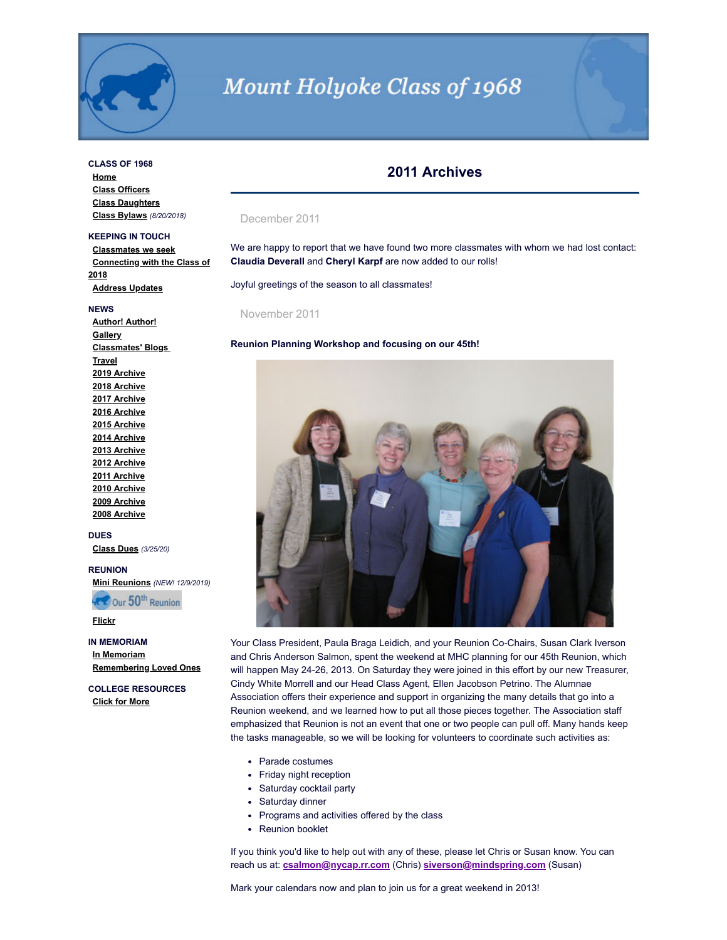

# **Mount Holyoke Class of 1968**

# **CLASS OF 1968**

**[Home](http://www.mhc1968.com/index.asp) [Class Officers](http://www.mhc1968.com/officers.asp) [Class Daughters](http://www.mhc1968.com/daughters.asp) [Class Bylaws](http://www.mhc1968.com/Bylaws.asp)** *(8/20/2018)*

## **KEEPING IN TOUCH**

**[Classmates we seek](http://www.mhc1968.com/lostclassmates.asp) [Connecting with the Class of](http://www.mhc1968.com/sisters.asp) 2018 [Address Updates](http://www.mhc1968.com/updates.asp)**

#### **NEWS**

**[Author! Author!](http://www.mhc1968.com/author.asp) [Gallery](http://www.mhc1968.com/gallery/gallery.asp) [Classmates' Blogs](http://www.mhc1968.com/blog.asp)  [Travel](http://www.mhc1968.com/travel.asp) [2019 Archive](http://www.mhc1968.com/archive2019.asp) [2018 Archive](http://www.mhc1968.com/archive2018.asp) [2017 Archive](http://www.mhc1968.com/archive2017.asp) [2016 Archive](http://www.mhc1968.com/archive2016.asp) [2015 Archive](http://www.mhc1968.com/archive2015.asp) [2014 Archive](http://www.mhc1968.com/archive2014.asp) [2013 Archive](http://www.mhc1968.com/archive2013.asp) [2012 Archive](http://www.mhc1968.com/archive2012.asp) [2011 Archive](http://www.mhc1968.com/archive2011.asp) [2010 Archive](http://www.mhc1968.com/archive2010.asp) [2009 Archive](http://www.mhc1968.com/archive2009.asp) [2008 Archive](http://www.mhc1968.com/archive2008.asp)**

#### **DUES**

**[Class Dues](http://www.mhc1968.com/dues.asp)** *(3/25/20)*

#### **REUNION**

**[Mini Reunions](http://www.mhc1968.com/MiniReunions.asp)** *(NEW! 12/9/2019)*

**RECOUR 50th Reunion** 

**[Flickr](https://www.flickr.com/photos/162666628@N03/)**

**IN MEMORIAM [In Memoriam](http://www.mhc1968.com/memoriam.asp) [Remembering Loved Ones](http://www.mhc1968.com/remember.asp)**

**COLLEGE RESOURCES [Click for More](http://www.mhc1968.com/resources.asp)**

# **2011 Archives**

#### December 2011

We are happy to report that we have found two more classmates with whom we had lost contact: **Claudia Deverall** and **Cheryl Karpf** are now added to our rolls!

Joyful greetings of the season to all classmates!

November 2011

#### **Reunion Planning Workshop and focusing on our 45th!**



Your Class President, Paula Braga Leidich, and your Reunion Co-Chairs, Susan Clark Iverson and Chris Anderson Salmon, spent the weekend at MHC planning for our 45th Reunion, which will happen May 24-26, 2013. On Saturday they were joined in this effort by our new Treasurer, Cindy White Morrell and our Head Class Agent, Ellen Jacobson Petrino. The Alumnae Association offers their experience and support in organizing the many details that go into a Reunion weekend, and we learned how to put all those pieces together. The Association staff emphasized that Reunion is not an event that one or two people can pull off. Many hands keep the tasks manageable, so we will be looking for volunteers to coordinate such activities as:

- Parade costumes
- Friday night reception
- Saturday cocktail party
- Saturday dinner
- Programs and activities offered by the class
- Reunion booklet

If you think you'd like to help out with any of these, please let Chris or Susan know. You can reach us at: **[csalmon@nycap.rr.com](mailto:csalmon@nycap.rr.com)** (Chris) **[siverson@mindspring.com](mailto:siverson@mindspring.com)** (Susan)

Mark your calendars now and plan to join us for a great weekend in 2013!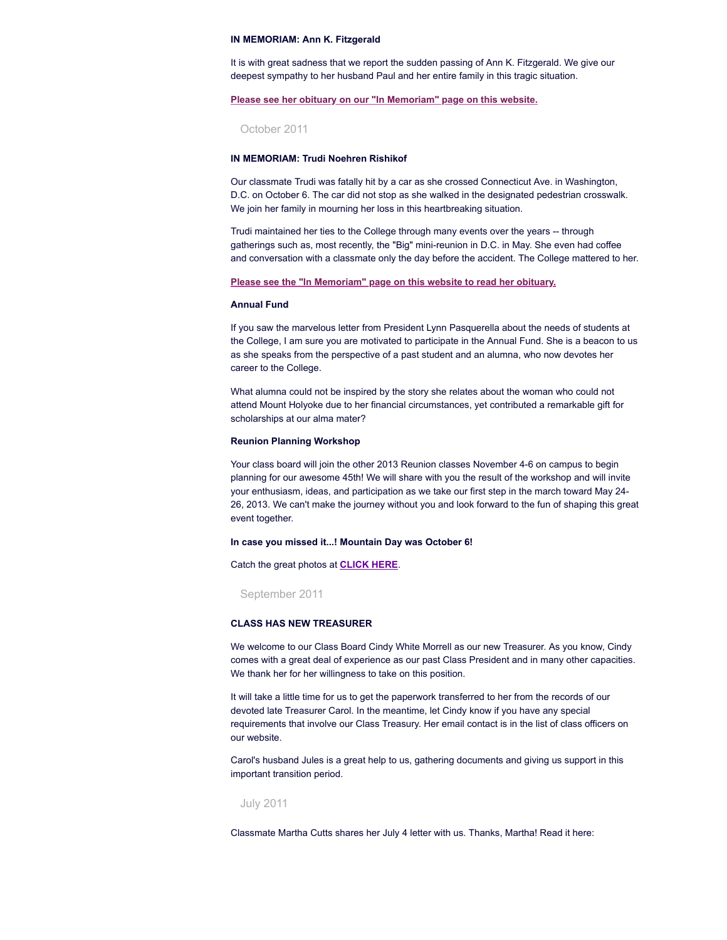#### **IN MEMORIAM: Ann K. Fitzgerald**

It is with great sadness that we report the sudden passing of Ann K. Fitzgerald. We give our deepest sympathy to her husband Paul and her entire family in this tragic situation.

#### **Please see her obituary on our "In [Memoriam"](http://www.mhc1968.com/memoriam.asp) page on this website.**

October 2011

# **IN MEMORIAM: Trudi Noehren Rishikof**

Our classmate Trudi was fatally hit by a car as she crossed Connecticut Ave. in Washington, D.C. on October 6. The car did not stop as she walked in the designated pedestrian crosswalk. We join her family in mourning her loss in this heartbreaking situation.

Trudi maintained her ties to the College through many events over the years -- through gatherings such as, most recently, the "Big" mini-reunion in D.C. in May. She even had coffee and conversation with a classmate only the day before the accident. The College mattered to her.

#### **Please see the "In [Memoriam"](http://www.mhc1968.com/memoriam.asp) page on this website to read her obituary.**

#### **Annual Fund**

If you saw the marvelous letter from President Lynn Pasquerella about the needs of students at the College, I am sure you are motivated to participate in the Annual Fund. She is a beacon to us as she speaks from the perspective of a past student and an alumna, who now devotes her career to the College.

What alumna could not be inspired by the story she relates about the woman who could not attend Mount Holyoke due to her financial circumstances, yet contributed a remarkable gift for scholarships at our alma mater?

#### **Reunion Planning Workshop**

Your class board will join the other 2013 Reunion classes November 4-6 on campus to begin planning for our awesome 45th! We will share with you the result of the workshop and will invite your enthusiasm, ideas, and participation as we take our first step in the march toward May 24- 26, 2013. We can't make the journey without you and look forward to the fun of shaping this great event together.

#### **In case you missed it...! Mountain Day was October 6!**

Catch the great photos at **[CLICK](http://www.mtholyoke.edu/news/channels/22/stories/5683149?utm_source=Fire%20Engine%20RED&utm_medium=email&utm_campaign=MHC_Today%2010.6.11) HERE**.

September 2011

#### **CLASS HAS NEW TREASURER**

We welcome to our Class Board Cindy White Morrell as our new Treasurer. As you know, Cindy comes with a great deal of experience as our past Class President and in many other capacities. We thank her for her willingness to take on this position.

It will take a little time for us to get the paperwork transferred to her from the records of our devoted late Treasurer Carol. In the meantime, let Cindy know if you have any special requirements that involve our Class Treasury. Her email contact is in the list of class officers on our website.

Carol's husband Jules is a great help to us, gathering documents and giving us support in this important transition period.

### July 2011

Classmate Martha Cutts shares her July 4 letter with us. Thanks, Martha! Read it here: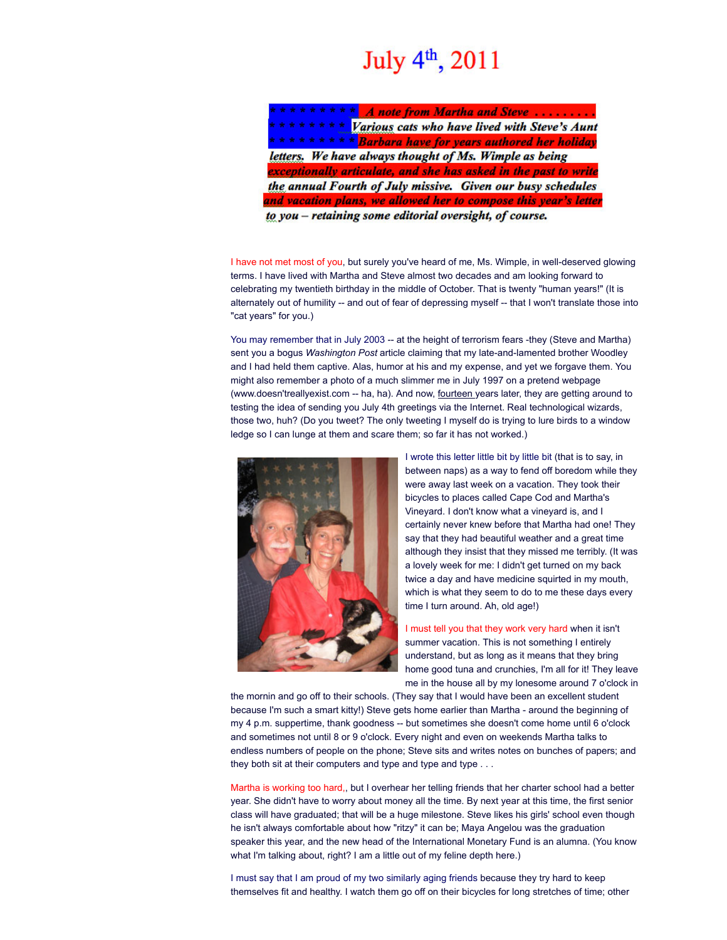# July 4<sup>th</sup>, 2011

A note from Martha and Steve ........ Various cats who have lived with Steve's Aunt \*\*\*\*\*\*\* Barbara have for years authored her holiday letters. We have always thought of Ms. Wimple as being exceptionally articulate, and she has asked in the past to write the annual Fourth of July missive. Given our busy schedules and vacation plans, we allowed her to compose this year's letter to you - retaining some editorial oversight, of course.

I have not met most of you, but surely you've heard of me, Ms. Wimple, in well-deserved glowing terms. I have lived with Martha and Steve almost two decades and am looking forward to celebrating my twentieth birthday in the middle of October. That is twenty "human years!" (It is alternately out of humility -- and out of fear of depressing myself -- that I won't translate those into

You may remember that in July 2003 -- at the height of terrorism fears -they (Steve and Martha) sent you a bogus *Washington Post* article claiming that my late-and-lamented brother Woodley and I had held them captive. Alas, humor at his and my expense, and yet we forgave them. You might also remember a photo of a much slimmer me in July 1997 on a pretend webpage (www.doesn'treallyexist.com -- ha, ha). And now, fourteen years later, they are getting around to testing the idea of sending you July 4th greetings via the Internet. Real technological wizards, those two, huh? (Do you tweet? The only tweeting I myself do is trying to lure birds to a window ledge so I can lunge at them and scare them; so far it has not worked.)



"cat years" for you.)

I wrote this letter little bit by little bit (that is to say, in between naps) as a way to fend off boredom while they were away last week on a vacation. They took their bicycles to places called Cape Cod and Martha's Vineyard. I don't know what a vineyard is, and I certainly never knew before that Martha had one! They say that they had beautiful weather and a great time although they insist that they missed me terribly. (It was a lovely week for me: I didn't get turned on my back twice a day and have medicine squirted in my mouth, which is what they seem to do to me these days every time I turn around. Ah, old age!)

I must tell you that they work very hard when it isn't summer vacation. This is not something I entirely understand, but as long as it means that they bring home good tuna and crunchies, I'm all for it! They leave me in the house all by my lonesome around 7 o'clock in

the mornin and go off to their schools. (They say that I would have been an excellent student because I'm such a smart kitty!) Steve gets home earlier than Martha - around the beginning of my 4 p.m. suppertime, thank goodness -- but sometimes she doesn't come home until 6 o'clock and sometimes not until 8 or 9 o'clock. Every night and even on weekends Martha talks to endless numbers of people on the phone; Steve sits and writes notes on bunches of papers; and they both sit at their computers and type and type and type . . .

Martha is working too hard,, but I overhear her telling friends that her charter school had a better year. She didn't have to worry about money all the time. By next year at this time, the first senior class will have graduated; that will be a huge milestone. Steve likes his girls' school even though he isn't always comfortable about how "ritzy" it can be; Maya Angelou was the graduation speaker this year, and the new head of the International Monetary Fund is an alumna. (You know what I'm talking about, right? I am a little out of my feline depth here.)

I must say that I am proud of my two similarly aging friends because they try hard to keep themselves fit and healthy. I watch them go off on their bicycles for long stretches of time; other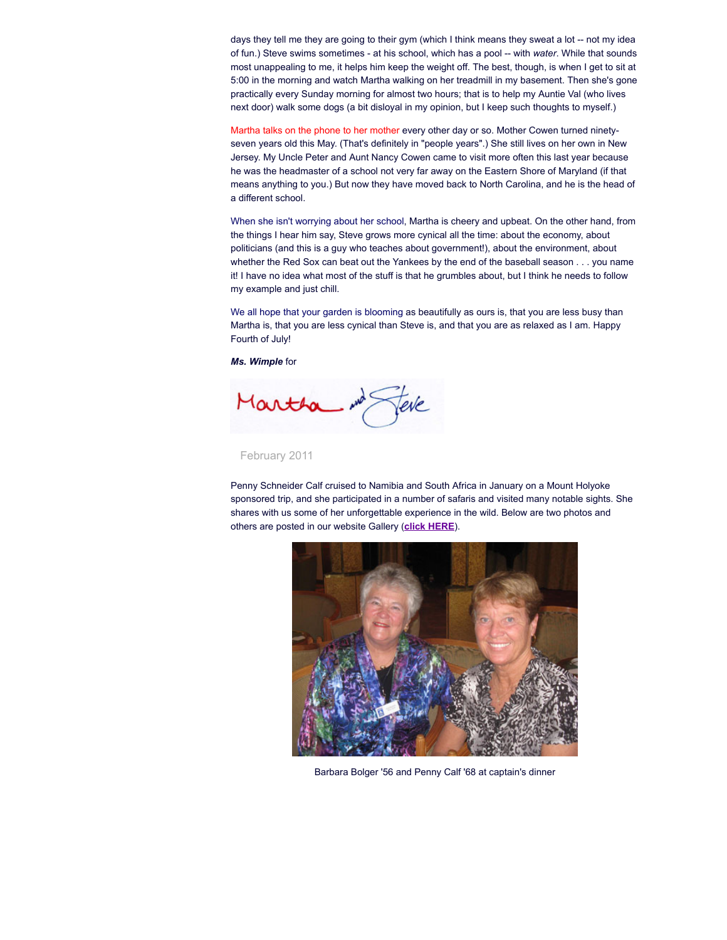days they tell me they are going to their gym (which I think means they sweat a lot -- not my idea of fun.) Steve swims sometimes - at his school, which has a pool -- with *water*. While that sounds most unappealing to me, it helps him keep the weight off. The best, though, is when I get to sit at 5:00 in the morning and watch Martha walking on her treadmill in my basement. Then she's gone practically every Sunday morning for almost two hours; that is to help my Auntie Val (who lives next door) walk some dogs (a bit disloyal in my opinion, but I keep such thoughts to myself.)

Martha talks on the phone to her mother every other day or so. Mother Cowen turned ninetyseven years old this May. (That's definitely in "people years".) She still lives on her own in New Jersey. My Uncle Peter and Aunt Nancy Cowen came to visit more often this last year because he was the headmaster of a school not very far away on the Eastern Shore of Maryland (if that means anything to you.) But now they have moved back to North Carolina, and he is the head of a different school.

When she isn't worrying about her school, Martha is cheery and upbeat. On the other hand, from the things I hear him say, Steve grows more cynical all the time: about the economy, about politicians (and this is a guy who teaches about government!), about the environment, about whether the Red Sox can beat out the Yankees by the end of the baseball season . . . you name it! I have no idea what most of the stuff is that he grumbles about, but I think he needs to follow my example and just chill.

We all hope that your garden is blooming as beautifully as ours is, that you are less busy than Martha is, that you are less cynical than Steve is, and that you are as relaxed as I am. Happy Fourth of July!

*Ms. Wimple* for

Martha

February 2011

Penny Schneider Calf cruised to Namibia and South Africa in January on a Mount Holyoke sponsored trip, and she participated in a number of safaris and visited many notable sights. She shares with us some of her unforgettable experience in the wild. Below are two photos and others are posted in our website Gallery (**click [HERE](http://www.alumnae.mtholyoke.edu/~classof1968/?Welcome/Pictures)**).



Barbara Bolger '56 and Penny Calf '68 at captain's dinner